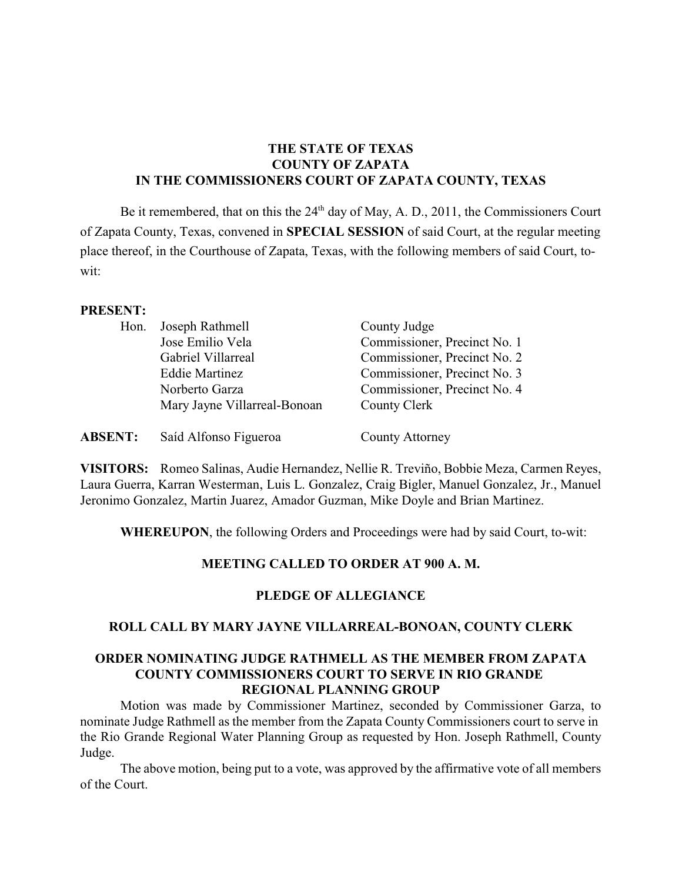# **THE STATE OF TEXAS COUNTY OF ZAPATA IN THE COMMISSIONERS COURT OF ZAPATA COUNTY, TEXAS**

Be it remembered, that on this the  $24<sup>th</sup>$  day of May, A. D., 2011, the Commissioners Court of Zapata County, Texas, convened in **SPECIAL SESSION** of said Court, at the regular meeting place thereof, in the Courthouse of Zapata, Texas, with the following members of said Court, towit:

#### **PRESENT:**

| Hon.           | Joseph Rathmell              | County Judge                 |
|----------------|------------------------------|------------------------------|
|                | Jose Emilio Vela             | Commissioner, Precinct No. 1 |
|                | Gabriel Villarreal           | Commissioner, Precinct No. 2 |
|                | <b>Eddie Martinez</b>        | Commissioner, Precinct No. 3 |
|                | Norberto Garza               | Commissioner, Precinct No. 4 |
|                | Mary Jayne Villarreal-Bonoan | County Clerk                 |
| <b>ABSENT:</b> | Saíd Alfonso Figueroa        | <b>County Attorney</b>       |

**VISITORS:** Romeo Salinas, Audie Hernandez, Nellie R. Treviño, Bobbie Meza, Carmen Reyes, Laura Guerra, Karran Westerman, Luis L. Gonzalez, Craig Bigler, Manuel Gonzalez, Jr., Manuel Jeronimo Gonzalez, Martin Juarez, Amador Guzman, Mike Doyle and Brian Martinez.

**WHEREUPON**, the following Orders and Proceedings were had by said Court, to-wit:

#### **MEETING CALLED TO ORDER AT 900 A. M.**

#### **PLEDGE OF ALLEGIANCE**

#### **ROLL CALL BY MARY JAYNE VILLARREAL-BONOAN, COUNTY CLERK**

### **ORDER NOMINATING JUDGE RATHMELL AS THE MEMBER FROM ZAPATA COUNTY COMMISSIONERS COURT TO SERVE IN RIO GRANDE REGIONAL PLANNING GROUP**

Motion was made by Commissioner Martinez, seconded by Commissioner Garza, to nominate Judge Rathmell as the member from the Zapata County Commissioners court to serve in the Rio Grande Regional Water Planning Group as requested by Hon. Joseph Rathmell, County Judge.

The above motion, being put to a vote, was approved by the affirmative vote of all members of the Court.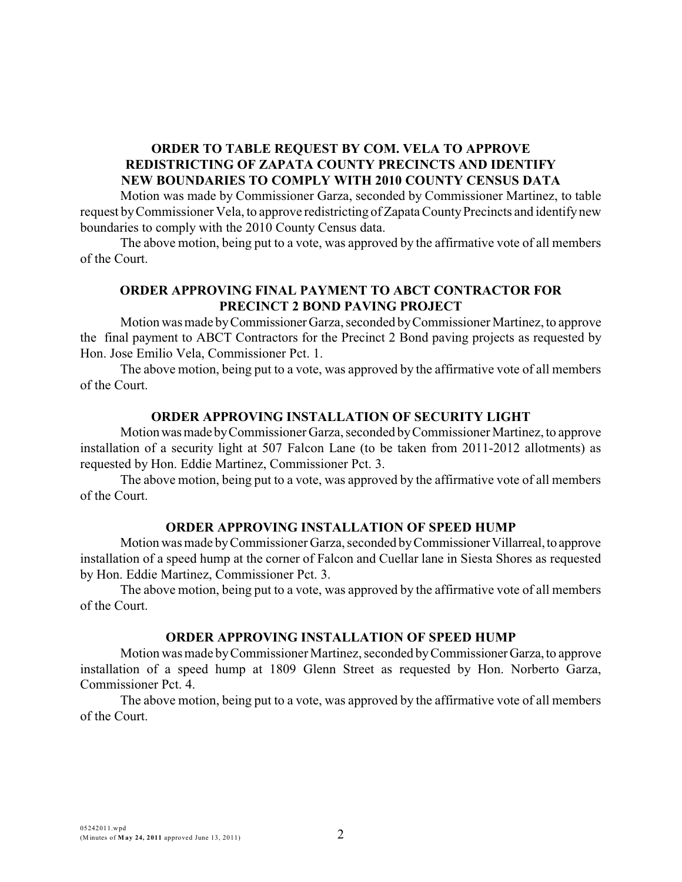# **ORDER TO TABLE REQUEST BY COM. VELA TO APPROVE REDISTRICTING OF ZAPATA COUNTY PRECINCTS AND IDENTIFY NEW BOUNDARIES TO COMPLY WITH 2010 COUNTY CENSUS DATA**

Motion was made by Commissioner Garza, seconded by Commissioner Martinez, to table request by Commissioner Vela, to approve redistricting of Zapata County Precincts and identify new boundaries to comply with the 2010 County Census data.

The above motion, being put to a vote, was approved by the affirmative vote of all members of the Court.

# **ORDER APPROVING FINAL PAYMENT TO ABCT CONTRACTOR FOR PRECINCT 2 BOND PAVING PROJECT**

Motion was made byCommissionerGarza, seconded byCommissioner Martinez, to approve the final payment to ABCT Contractors for the Precinct 2 Bond paving projects as requested by Hon. Jose Emilio Vela, Commissioner Pct. 1.

The above motion, being put to a vote, was approved by the affirmative vote of all members of the Court.

### **ORDER APPROVING INSTALLATION OF SECURITY LIGHT**

Motion was made by Commissioner Garza, seconded by Commissioner Martinez, to approve installation of a security light at 507 Falcon Lane (to be taken from 2011-2012 allotments) as requested by Hon. Eddie Martinez, Commissioner Pct. 3.

The above motion, being put to a vote, was approved by the affirmative vote of all members of the Court.

#### **ORDER APPROVING INSTALLATION OF SPEED HUMP**

Motion was made byCommissioner Garza, seconded byCommissionerVillarreal,to approve installation of a speed hump at the corner of Falcon and Cuellar lane in Siesta Shores as requested by Hon. Eddie Martinez, Commissioner Pct. 3.

The above motion, being put to a vote, was approved by the affirmative vote of all members of the Court.

# **ORDER APPROVING INSTALLATION OF SPEED HUMP**

Motion was made byCommissioner Martinez, seconded byCommissionerGarza, to approve installation of a speed hump at 1809 Glenn Street as requested by Hon. Norberto Garza, Commissioner Pct. 4.

The above motion, being put to a vote, was approved by the affirmative vote of all members of the Court.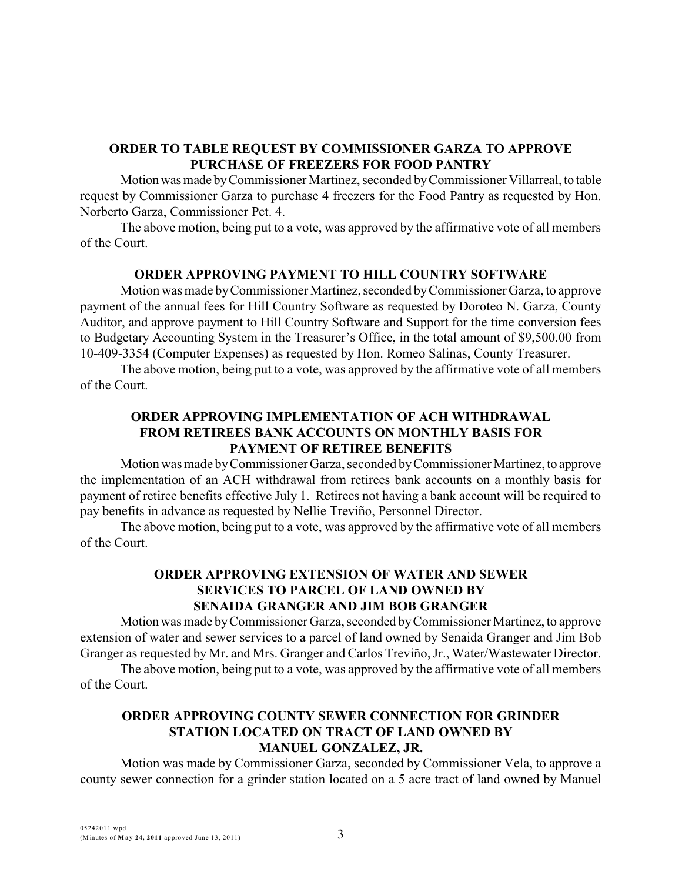## **ORDER TO TABLE REQUEST BY COMMISSIONER GARZA TO APPROVE PURCHASE OF FREEZERS FOR FOOD PANTRY**

Motionwasmade byCommissioner Martinez, seconded byCommissioner Villarreal,to table request by Commissioner Garza to purchase 4 freezers for the Food Pantry as requested by Hon. Norberto Garza, Commissioner Pct. 4.

The above motion, being put to a vote, was approved by the affirmative vote of all members of the Court.

### **ORDER APPROVING PAYMENT TO HILL COUNTRY SOFTWARE**

Motion was made by Commissioner Martinez, seconded by Commissioner Garza, to approve payment of the annual fees for Hill Country Software as requested by Doroteo N. Garza, County Auditor, and approve payment to Hill Country Software and Support for the time conversion fees to Budgetary Accounting System in the Treasurer's Office, in the total amount of \$9,500.00 from 10-409-3354 (Computer Expenses) as requested by Hon. Romeo Salinas, County Treasurer.

The above motion, being put to a vote, was approved by the affirmative vote of all members of the Court.

# **ORDER APPROVING IMPLEMENTATION OF ACH WITHDRAWAL FROM RETIREES BANK ACCOUNTS ON MONTHLY BASIS FOR PAYMENT OF RETIREE BENEFITS**

Motion was made byCommissioner Garza, seconded byCommissioner Martinez,to approve the implementation of an ACH withdrawal from retirees bank accounts on a monthly basis for payment of retiree benefits effective July 1. Retirees not having a bank account will be required to pay benefits in advance as requested by Nellie Treviño, Personnel Director.

The above motion, being put to a vote, was approved by the affirmative vote of all members of the Court.

### **ORDER APPROVING EXTENSION OF WATER AND SEWER SERVICES TO PARCEL OF LAND OWNED BY SENAIDA GRANGER AND JIM BOB GRANGER**

Motionwas made byCommissioner Garza, seconded byCommissioner Martinez, to approve extension of water and sewer services to a parcel of land owned by Senaida Granger and Jim Bob Granger as requested by Mr. and Mrs. Granger and Carlos Treviño, Jr., Water/Wastewater Director.

The above motion, being put to a vote, was approved by the affirmative vote of all members of the Court.

### **ORDER APPROVING COUNTY SEWER CONNECTION FOR GRINDER STATION LOCATED ON TRACT OF LAND OWNED BY MANUEL GONZALEZ, JR.**

Motion was made by Commissioner Garza, seconded by Commissioner Vela, to approve a county sewer connection for a grinder station located on a 5 acre tract of land owned by Manuel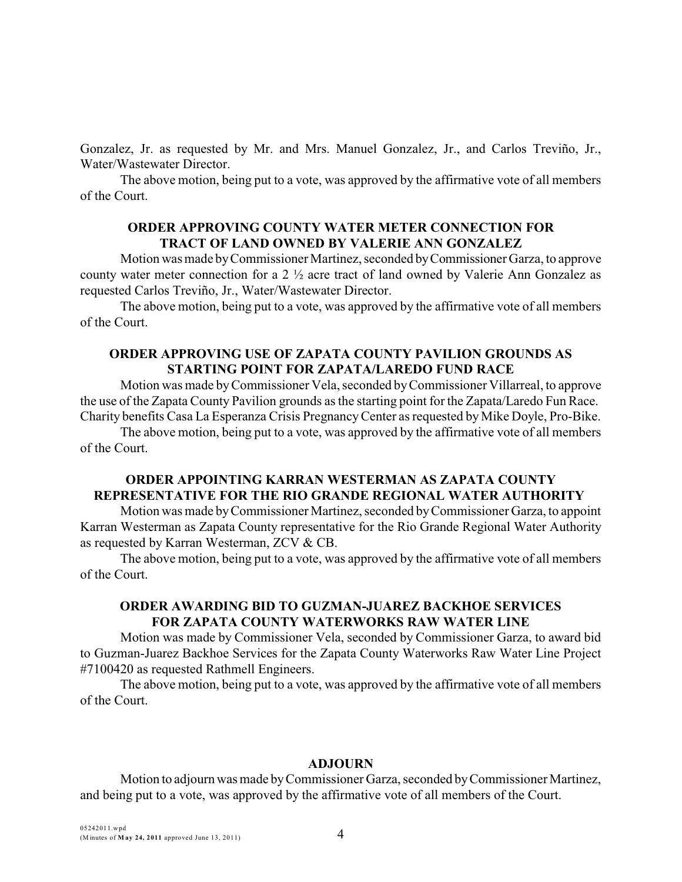Gonzalez, Jr. as requested by Mr. and Mrs. Manuel Gonzalez, Jr., and Carlos Treviño, Jr., Water/Wastewater Director.

The above motion, being put to a vote, was approved by the affirmative vote of all members of the Court.

### **ORDER APPROVING COUNTY WATER METER CONNECTION FOR TRACT OF LAND OWNED BY VALERIE ANN GONZALEZ**

Motion was made byCommissioner Martinez, seconded byCommissioner Garza, to approve county water meter connection for a 2 ½ acre tract of land owned by Valerie Ann Gonzalez as requested Carlos Treviño, Jr., Water/Wastewater Director.

The above motion, being put to a vote, was approved by the affirmative vote of all members of the Court.

# **ORDER APPROVING USE OF ZAPATA COUNTY PAVILION GROUNDS AS STARTING POINT FOR ZAPATA/LAREDO FUND RACE**

Motion was made byCommissioner Vela, seconded byCommissioner Villarreal, to approve the use of the Zapata County Pavilion grounds as the starting point for the Zapata/Laredo Fun Race. Charity benefits Casa La Esperanza Crisis PregnancyCenter as requested by Mike Doyle, Pro-Bike.

The above motion, being put to a vote, was approved by the affirmative vote of all members of the Court.

# **ORDER APPOINTING KARRAN WESTERMAN AS ZAPATA COUNTY REPRESENTATIVE FOR THE RIO GRANDE REGIONAL WATER AUTHORITY**

Motion was made byCommissioner Martinez, seconded byCommissioner Garza, to appoint Karran Westerman as Zapata County representative for the Rio Grande Regional Water Authority as requested by Karran Westerman, ZCV & CB.

The above motion, being put to a vote, was approved by the affirmative vote of all members of the Court.

# **ORDER AWARDING BID TO GUZMAN-JUAREZ BACKHOE SERVICES FOR ZAPATA COUNTY WATERWORKS RAW WATER LINE**

Motion was made by Commissioner Vela, seconded by Commissioner Garza, to award bid to Guzman-Juarez Backhoe Services for the Zapata County Waterworks Raw Water Line Project #7100420 as requested Rathmell Engineers.

The above motion, being put to a vote, was approved by the affirmative vote of all members of the Court.

#### **ADJOURN**

Motion to adjourn was made byCommissioner Garza, seconded byCommissioner Martinez, and being put to a vote, was approved by the affirmative vote of all members of the Court.